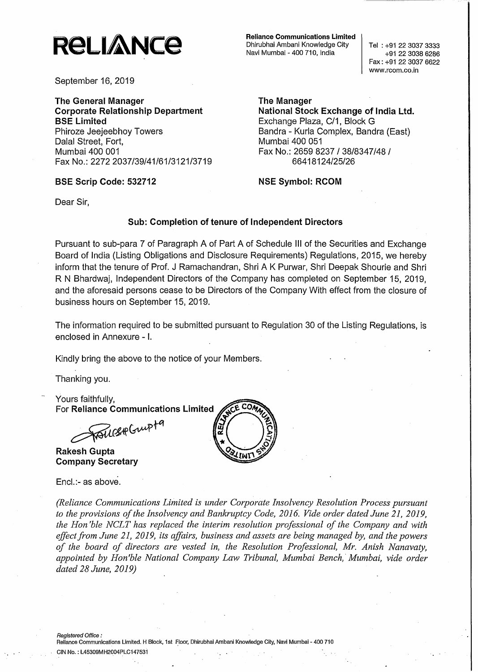

September 16, 2019

**The General Manager Corporate Relationship Department SSE Limited** Phiroze Jeejeebhoy Towers Dalal Street, Fort, Mumbai 400 001 Fax No.: 22722037/39/41/61/3121/3719

#### **SSE Scrip Code: 532712**

**Reliance Communications Limited** Dhirubhai Ambani Knowledge City Navi Mumbai - 400 710, India

Tel: +91 22 3037 3333 +91 22 3038 6286 Fax: +91 2230376622 www.rcom.co.in

**The Manager National Stock Exchange of India Ltd.** Exchange Plaza, C/1, Block G Bandra - Kurla Complex, Sandra (East) Mumbai 400 051 Fax No.: 2659 8237 / 38/8347/48 / 66418124/25/26

**NSE Symbol: RCOM**

Dear Sir,

#### **Sub: Completion of tenure of Independent Directors**

Pursuant to sub-para 7 of Paragraph A of Part A of Schedule **III** of the Securities and Exchange Board of India (Listing Obligations and Disclosure Requirements) Regulations, 2015, we hereby inform that the tenure of Prof. J Ramachandran, Shri A K Purwar, Shri Deepak Shourie and Shri R N Bhardwaj, Independent Directors of the Company has completed on September 15, 2019, and the aforesaid persons cease to be Directors of the Company With effect from the closure of business hours on September 15, 2019.

The information required to be submitted pursuant to Regulation 30 of the Listing Regulations, is enclosed in Annexure - I.

Kindly bring the above to the notice of your Members.

Thanking you.

Yours faithfully,

For Reliance Communications Limited<br>AQUERGupt<sup>9</sup>

**Rakesh Gupta Company Secretary**

Enc!.:- as above.



*(Reliance Communications Limited is under Corporate Insolvency Resolution Process pursuant to the provisions ofthe Insolvency and Bankruptcy Code, 2016. Vide order dated June 21,2019, the Hon 'ble NCLT has replaced the interim resolution professional of the COlnpany and with effectfr01n June 21,2019, its affairs, business and assets are being managed by, and the powers of the board of directors are vested in, the Resolution Professional, Mr. Anish Nanavaty, appointed by Hon'ble National Company Law Tribunal, Mumbai Bench,' Mumbai, vide order dated* 28 *June, 2019)*